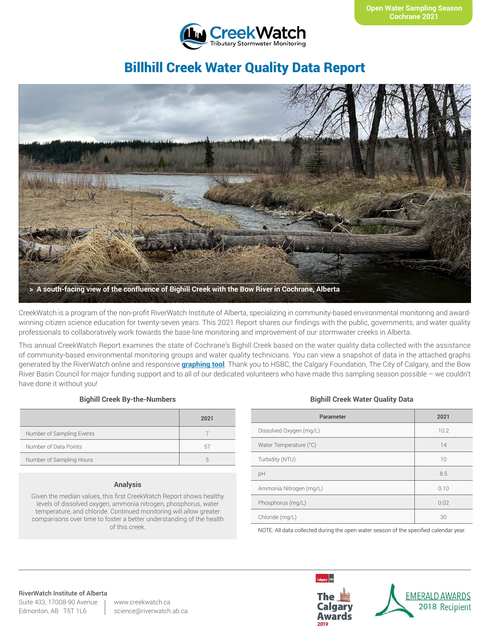

## Billhill Creek Water Quality Data Report



CreekWatch is a program of the non-profit RiverWatch Institute of Alberta, specializing in community-based environmental monitoring and awardwinning citizen science education for twenty-seven years. This 2021 Report shares our findings with the public, governments, and water quality professionals to collaboratively work towards the base-line monitoring and improvement of our stormwater creeks in Alberta.

This annual CreekWatch Report examines the state of Cochrane's Bighill Creek based on the water quality data collected with the assistance of community-based environmental monitoring groups and water quality technicians. You can view a snapshot of data in the attached graphs generated by the RiverWatch online and responsive **[graphing tool](http://www.riverwatch.ab.ca/index.php/science/data)**. Thank you to HSBC, the Calgary Foundation, The City of Calgary, and the Bow River Basin Council for major funding support and to all of our dedicated volunteers who have made this sampling season possible – we couldn't have done it without you!

#### **Bighill Creek By-the-Numbers**

|                           | 2021 |
|---------------------------|------|
| Number of Sampling Events |      |
| Number of Data Points     | 57   |
| Number of Sampling Hours  | h    |

#### **Analysis**

Given the median values, this first CreekWatch Report shows healthy levels of dissolved oxygen, ammonia nitrogen, phosphorus, water temperature, and chloride. Continued monitoring will allow greater comparisons over time to foster a better understanding of the health of this creek.

#### **Bighill Creek Water Quality Data**

| Parameter               | 2021 |
|-------------------------|------|
| Dissolved Oxygen (mg/L) | 10.2 |
| Water Temperature (°C)  | 14   |
| Turbidity (NTU)         | 10   |
| pH                      | 8.5  |
| Ammonia Nitrogen (mg/L) | 0.10 |
| Phosphorus (mg/L)       | 0.02 |
| Chloride (mg/L)         | 30   |
|                         |      |

NOTE: All data collected during the open water season of the specified calendar year.

#### RiverWatch Institute of Alberta

Suite 433, 17008-90 Avenue Edmonton, AB T5T 1L6

www.creekwatch.ca science@riverwatch.ab.ca